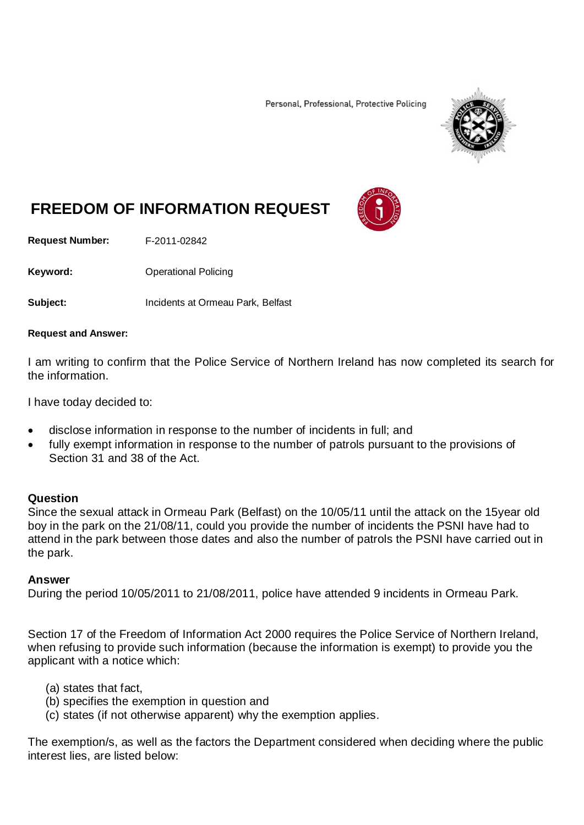Personal, Professional, Protective Policing



# **FREEDOM OF INFORMATION REQUEST**

**Request Number:** F-2011-02842

Keyword: **Calcular Contract Contract Contract Contract Contract Contract Contract Contract Contract Contract Contract Contract Contract Contract Contract Contract Contract Contract Contract Contract Contract Contract Contr** 

**Subject:** Incidents at Ormeau Park, Belfast

#### **Request and Answer:**

I am writing to confirm that the Police Service of Northern Ireland has now completed its search for the information.

I have today decided to:

- disclose information in response to the number of incidents in full; and
- fully exempt information in response to the number of patrols pursuant to the provisions of Section 31 and 38 of the Act.

#### **Question**

Since the sexual attack in Ormeau Park (Belfast) on the 10/05/11 until the attack on the 15year old boy in the park on the 21/08/11, could you provide the number of incidents the PSNI have had to attend in the park between those dates and also the number of patrols the PSNI have carried out in the park.

#### **Answer**

During the period 10/05/2011 to 21/08/2011, police have attended 9 incidents in Ormeau Park.

Section 17 of the Freedom of Information Act 2000 requires the Police Service of Northern Ireland, when refusing to provide such information (because the information is exempt) to provide you the applicant with a notice which:

- (a) states that fact,
- (b) specifies the exemption in question and
- (c) states (if not otherwise apparent) why the exemption applies.

The exemption/s, as well as the factors the Department considered when deciding where the public interest lies, are listed below: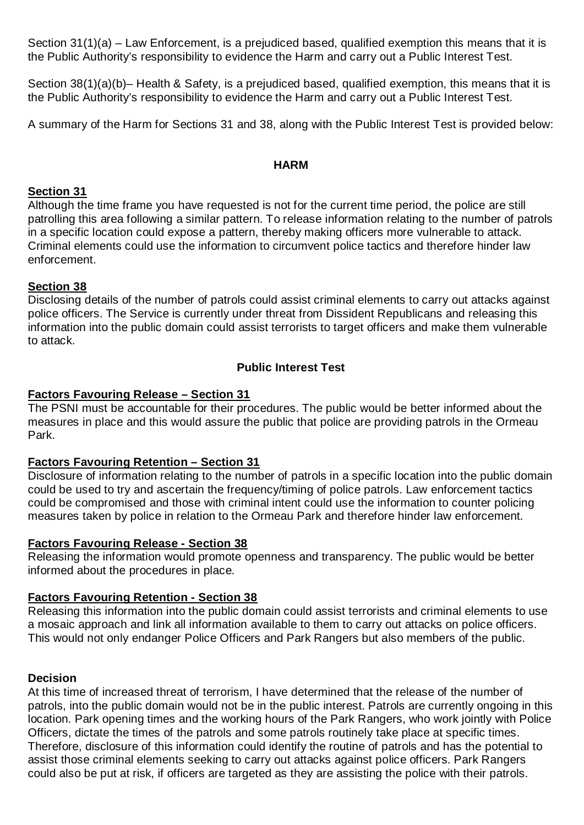Section 31(1)(a) – Law Enforcement, is a prejudiced based, qualified exemption this means that it is the Public Authority's responsibility to evidence the Harm and carry out a Public Interest Test.

Section 38(1)(a)(b)– Health & Safety, is a prejudiced based, qualified exemption, this means that it is the Public Authority's responsibility to evidence the Harm and carry out a Public Interest Test.

A summary of the Harm for Sections 31 and 38, along with the Public Interest Test is provided below:

### **HARM**

## **Section 31**

Although the time frame you have requested is not for the current time period, the police are still patrolling this area following a similar pattern. To release information relating to the number of patrols in a specific location could expose a pattern, thereby making officers more vulnerable to attack. Criminal elements could use the information to circumvent police tactics and therefore hinder law enforcement.

## **Section 38**

Disclosing details of the number of patrols could assist criminal elements to carry out attacks against police officers. The Service is currently under threat from Dissident Republicans and releasing this information into the public domain could assist terrorists to target officers and make them vulnerable to attack.

## **Public Interest Test**

# **Factors Favouring Release – Section 31**

The PSNI must be accountable for their procedures. The public would be better informed about the measures in place and this would assure the public that police are providing patrols in the Ormeau Park.

# **Factors Favouring Retention – Section 31**

Disclosure of information relating to the number of patrols in a specific location into the public domain could be used to try and ascertain the frequency/timing of police patrols. Law enforcement tactics could be compromised and those with criminal intent could use the information to counter policing measures taken by police in relation to the Ormeau Park and therefore hinder law enforcement.

## **Factors Favouring Release - Section 38**

Releasing the information would promote openness and transparency. The public would be better informed about the procedures in place.

# **Factors Favouring Retention - Section 38**

Releasing this information into the public domain could assist terrorists and criminal elements to use a mosaic approach and link all information available to them to carry out attacks on police officers. This would not only endanger Police Officers and Park Rangers but also members of the public.

# **Decision**

At this time of increased threat of terrorism, I have determined that the release of the number of patrols, into the public domain would not be in the public interest. Patrols are currently ongoing in this location. Park opening times and the working hours of the Park Rangers, who work jointly with Police Officers, dictate the times of the patrols and some patrols routinely take place at specific times. Therefore, disclosure of this information could identify the routine of patrols and has the potential to assist those criminal elements seeking to carry out attacks against police officers. Park Rangers could also be put at risk, if officers are targeted as they are assisting the police with their patrols.